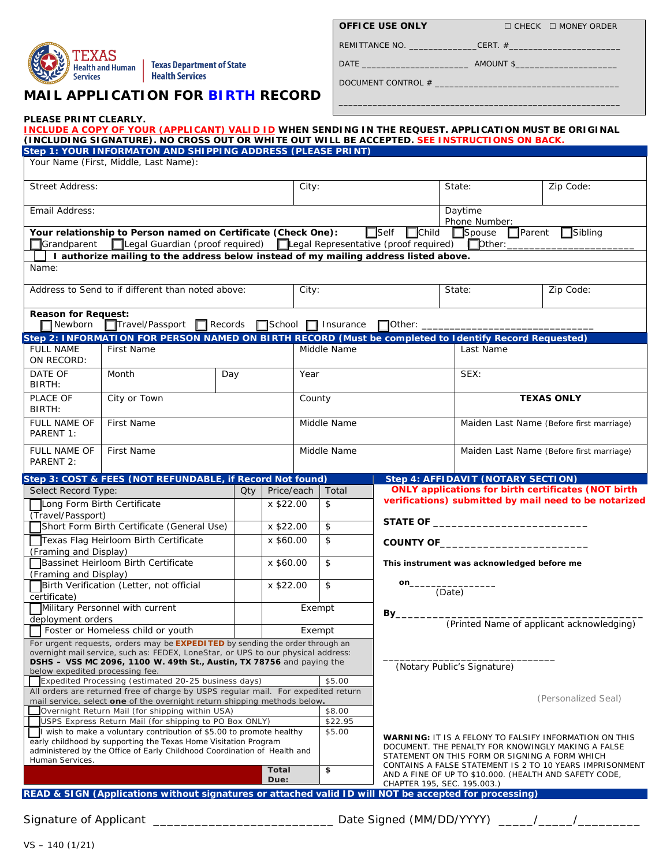

**PLEASE PRINT CLEARLY.** 

Texas Department of State Health Services

# **MAIL APPLICATION FOR BIRTH RECORD**

| <b>OFFICE USE ONLY</b> | $\Box$ (  |
|------------------------|-----------|
| REMITTANCE NO.         | CERT. $#$ |

**OFFICE USE ONLY** □ CHECK □ MONEY ORDER

\_\_\_\_\_\_\_\_\_\_\_\_\_\_\_\_\_\_\_\_\_\_\_\_\_\_\_\_\_\_\_\_\_\_\_\_\_\_\_\_\_\_\_\_\_\_\_\_\_\_\_\_\_\_\_\_\_\_

DATE \_\_\_\_\_\_\_\_\_\_\_\_\_\_\_\_\_\_\_\_\_\_ AMOUNT \$\_\_\_\_\_\_\_\_\_\_\_\_\_\_\_\_\_\_\_\_\_

DOCUMENT CONTROL #

|                                                                                                                                                                                                                      | INCLUDE A COPY OF YOUR (APPLICANT) VALID ID WHEN SENDING IN THE REQUEST. APPLICATION MUST BE ORIGINAL<br>(INCLUDING SIGNATURE). NO CROSS OUT OR WHITE OUT WILL BE ACCEPTED. SEE INSTRUCTIONS ON BACK. |           |                      |               |             |                                                                                                                                                                       |                                                 |                                                            |  |
|----------------------------------------------------------------------------------------------------------------------------------------------------------------------------------------------------------------------|-------------------------------------------------------------------------------------------------------------------------------------------------------------------------------------------------------|-----------|----------------------|---------------|-------------|-----------------------------------------------------------------------------------------------------------------------------------------------------------------------|-------------------------------------------------|------------------------------------------------------------|--|
|                                                                                                                                                                                                                      | Step 1: YOUR INFORMATON AND SHIPPING ADDRESS (PLEASE PRINT)<br>Your Name (First, Middle, Last Name):                                                                                                  |           |                      |               |             |                                                                                                                                                                       |                                                 |                                                            |  |
| <b>Street Address:</b>                                                                                                                                                                                               |                                                                                                                                                                                                       |           |                      |               | City:       |                                                                                                                                                                       | State:                                          | Zip Code:                                                  |  |
| Email Address:                                                                                                                                                                                                       |                                                                                                                                                                                                       |           |                      |               |             |                                                                                                                                                                       | Daytime<br>Phone Number:                        |                                                            |  |
| Grandparent                                                                                                                                                                                                          | Your relationship to Person named on Certificate (Check One):<br>□Legal Guardian (proof required) □Legal Representative (proof required)                                                              |           |                      |               |             | $\Box$ Self<br>$\Box$ Child                                                                                                                                           | $\Box$ Spouse<br>$\Box$ Parent<br>$\Box$ Dther: | $\Box$ Sibling                                             |  |
| Name:                                                                                                                                                                                                                | I authorize mailing to the address below instead of my mailing address listed above.                                                                                                                  |           |                      |               |             |                                                                                                                                                                       |                                                 |                                                            |  |
| Address to Send to if different than noted above:                                                                                                                                                                    |                                                                                                                                                                                                       |           |                      | City:         |             |                                                                                                                                                                       | State:                                          | Zip Code:                                                  |  |
| <b>Reason for Request:</b><br>$\Box$ Newborn                                                                                                                                                                         | Travel/Passport Records School 1 Insurance                                                                                                                                                            |           |                      |               |             | $\Box$ Other:                                                                                                                                                         |                                                 |                                                            |  |
| <b>FULL NAME</b><br>ON RECORD:                                                                                                                                                                                       | Step 2: INFORMATION FOR PERSON NAMED ON BIRTH RECORD (Must be completed to Identify Record Requested)<br>First Name                                                                                   |           |                      | Middle Name   |             |                                                                                                                                                                       | Last Name                                       |                                                            |  |
| DATE OF<br>BIRTH:                                                                                                                                                                                                    | Month<br>Day                                                                                                                                                                                          |           |                      | Year          |             |                                                                                                                                                                       | SEX:                                            |                                                            |  |
| PLACE OF<br>BIRTH:                                                                                                                                                                                                   | City or Town                                                                                                                                                                                          |           |                      | County        |             |                                                                                                                                                                       | <b>TEXAS ONLY</b>                               |                                                            |  |
| <b>FULL NAME OF</b><br>PARENT 1:                                                                                                                                                                                     | <b>First Name</b>                                                                                                                                                                                     |           |                      | Middle Name   |             |                                                                                                                                                                       | Maiden Last Name (Before first marriage)        |                                                            |  |
| FULL NAME OF<br>PARENT 2:                                                                                                                                                                                            | First Name                                                                                                                                                                                            |           |                      |               | Middle Name |                                                                                                                                                                       | Maiden Last Name (Before first marriage)        |                                                            |  |
|                                                                                                                                                                                                                      | Step 3: COST & FEES (NOT REFUNDABLE, if Record Not found)                                                                                                                                             |           |                      |               |             |                                                                                                                                                                       | <b>Step 4: AFFIDAVIT (NOTARY SECTION)</b>       |                                                            |  |
| Select Record Type:                                                                                                                                                                                                  |                                                                                                                                                                                                       | Qty l     | Price/each           |               | Total       |                                                                                                                                                                       |                                                 | <b>ONLY applications for birth certificates (NOT birth</b> |  |
| Long Form Birth Certificate                                                                                                                                                                                          |                                                                                                                                                                                                       |           | x \$22.00            |               | \$          |                                                                                                                                                                       |                                                 | verifications) submitted by mail need to be notarized      |  |
| (Travel/Passport)                                                                                                                                                                                                    |                                                                                                                                                                                                       |           |                      |               |             |                                                                                                                                                                       |                                                 |                                                            |  |
|                                                                                                                                                                                                                      | Short Form Birth Certificate (General Use)                                                                                                                                                            | x \$22.00 |                      |               | \$          |                                                                                                                                                                       |                                                 |                                                            |  |
|                                                                                                                                                                                                                      | Texas Flag Heirloom Birth Certificate                                                                                                                                                                 |           | x \$60.00            |               | \$          |                                                                                                                                                                       | COUNTY OF <b>Example 2018</b>                   |                                                            |  |
| (Framing and Display)                                                                                                                                                                                                |                                                                                                                                                                                                       |           |                      |               |             |                                                                                                                                                                       |                                                 |                                                            |  |
| (Framing and Display)                                                                                                                                                                                                | Bassinet Heirloom Birth Certificate                                                                                                                                                                   |           | x \$60.00            |               | \$          | This instrument was acknowledged before me                                                                                                                            |                                                 |                                                            |  |
| Birth Verification (Letter, not official<br>certificate)                                                                                                                                                             |                                                                                                                                                                                                       |           | x \$22.00            |               | \$          | on_<br>(Date)                                                                                                                                                         |                                                 |                                                            |  |
| Military Personnel with current                                                                                                                                                                                      |                                                                                                                                                                                                       |           |                      | Exempt<br>Βv. |             |                                                                                                                                                                       |                                                 |                                                            |  |
|                                                                                                                                                                                                                      | deployment orders                                                                                                                                                                                     |           |                      |               |             |                                                                                                                                                                       | (Printed Name of applicant acknowledging)       |                                                            |  |
|                                                                                                                                                                                                                      | Foster or Homeless child or youth                                                                                                                                                                     |           |                      |               | Exempt      |                                                                                                                                                                       |                                                 |                                                            |  |
|                                                                                                                                                                                                                      | For urgent requests, orders may be <b>EXPEDITED</b> by sending the order through an<br>overnight mail service, such as: FEDEX, LoneStar, or UPS to our physical address:                              |           |                      |               |             |                                                                                                                                                                       |                                                 |                                                            |  |
|                                                                                                                                                                                                                      | <b>DSHS - VSS MC 2096, 1100 W. 49th St., Austin, TX 78756 and paying the</b>                                                                                                                          |           |                      |               |             |                                                                                                                                                                       |                                                 |                                                            |  |
| below expedited processing fee.                                                                                                                                                                                      |                                                                                                                                                                                                       |           |                      |               |             |                                                                                                                                                                       | (Notary Public's Signature)                     |                                                            |  |
|                                                                                                                                                                                                                      | Expedited Processing (estimated 20-25 business days)                                                                                                                                                  |           |                      |               | \$5.00      |                                                                                                                                                                       |                                                 |                                                            |  |
|                                                                                                                                                                                                                      | All orders are returned free of charge by USPS regular mail. For expedited return<br>mail service, select one of the overnight return shipping methods below.                                         |           |                      |               |             |                                                                                                                                                                       |                                                 | (Personalized Seal)                                        |  |
| Overnight Return Mail (for shipping within USA)                                                                                                                                                                      |                                                                                                                                                                                                       |           |                      |               | \$8.00      |                                                                                                                                                                       |                                                 |                                                            |  |
| USPS Express Return Mail (for shipping to PO Box ONLY)                                                                                                                                                               |                                                                                                                                                                                                       |           |                      |               | \$22.95     |                                                                                                                                                                       |                                                 |                                                            |  |
| If wish to make a voluntary contribution of \$5.00 to promote healthy<br>early childhood by supporting the Texas Home Visitation Program<br>administered by the Office of Early Childhood Coordination of Health and |                                                                                                                                                                                                       |           |                      | \$5.00        |             | <b>WARNING: IT IS A FELONY TO FALSIFY INFORMATION ON THIS</b><br>DOCUMENT. THE PENALTY FOR KNOWINGLY MAKING A FALSE<br>STATEMENT ON THIS FORM OR SIGNING A FORM WHICH |                                                 |                                                            |  |
| Human Services.                                                                                                                                                                                                      |                                                                                                                                                                                                       |           | <b>Total</b><br>Due: |               | \$          | CONTAINS A FALSE STATEMENT IS 2 TO 10 YEARS IMPRISONMENT<br>AND A FINE OF UP TO \$10.000. (HEALTH AND SAFETY CODE,<br>CHAPTER 195, SEC. 195.003.)                     |                                                 |                                                            |  |
|                                                                                                                                                                                                                      | READ & SIGN (Applications without signatures or attached valid ID will NOT be accepted for processing)                                                                                                |           |                      |               |             |                                                                                                                                                                       |                                                 |                                                            |  |
|                                                                                                                                                                                                                      |                                                                                                                                                                                                       |           |                      |               |             |                                                                                                                                                                       |                                                 |                                                            |  |
| Signature of Applicant                                                                                                                                                                                               |                                                                                                                                                                                                       |           |                      |               |             | Date Signed (MM/DD/YYYY)                                                                                                                                              |                                                 |                                                            |  |